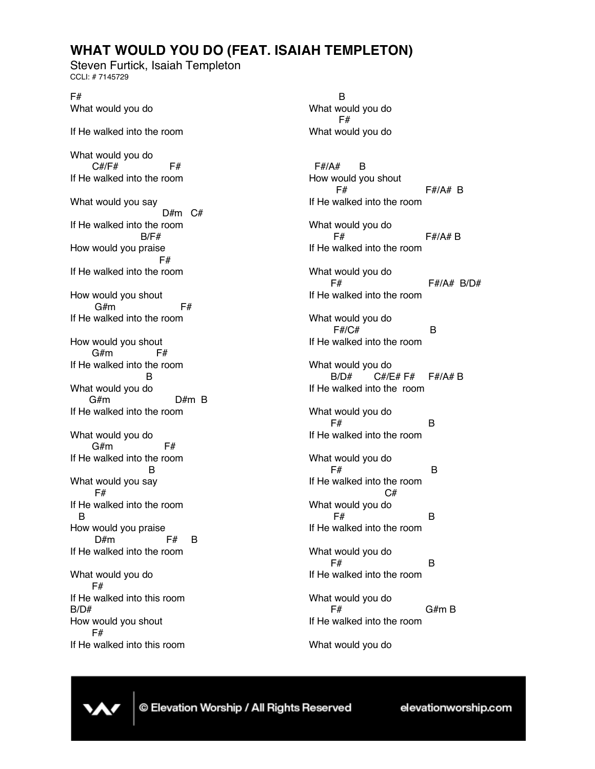## **WHAT WOULD YOU DO (FEAT. ISAIAH TEMPLETON)**

Steven Furtick, Isaiah Templeton CCLI: # 7145729

F# What would you do If He walked into the room What would you do C#/F# F# If He walked into the room What would you say D#m C# If He walked into the room B/F# How would you praise F# If He walked into the room How would you shout  $G#m$  F# If He walked into the room How would you shout G#m F# If He walked into the room B What would you do G#m D#m B If He walked into the room What would you do  $G#m$  F# If He walked into the room B What would you say F# If He walked into the room B How would you praise  $D#m$  F# B If He walked into the room What would you do F# If He walked into this room B/D# How would you shout F#

If He walked into this room

B What would you do F# What would you do F#/A# B How would you shout F# F#/A# B If He walked into the room What would you do F# F#/A# B If He walked into the room What would you do F# F#/A# B/D# If He walked into the room What would you do F#/C# B If He walked into the room What would you do B/D# C#/E# F# F#/A# B If He walked into the room What would you do  $F#$  B If He walked into the room What would you do  $F#$  B If He walked into the room C# What would you do  $F#$  B If He walked into the room What would you do  $F#$  B If He walked into the room What would you do  $F#$  $G#m B$ If He walked into the room

What would you do